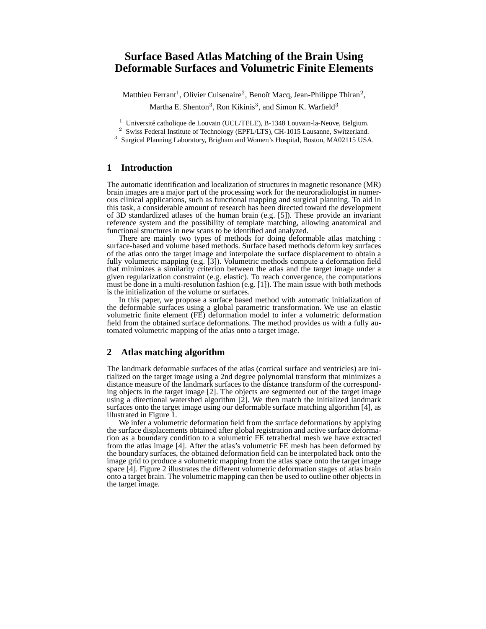# **Surface Based Atlas Matching of the Brain Using Deformable Surfaces and Volumetric Finite Elements**

Matthieu Ferrant<sup>1</sup>, Olivier Cuisenaire<sup>2</sup>, Benoît Macq, Jean-Philippe Thiran<sup>2</sup>, Martha E. Shenton<sup>3</sup>, Ron Kikinis<sup>3</sup>, and Simon K. Warfield<sup>3</sup>

 $1$  Université catholique de Louvain (UCL/TELE), B-1348 Louvain-la-Neuve, Belgium.

<sup>2</sup> Swiss Federal Institute of Technology (EPFL/LTS), CH-1015 Lausanne, Switzerland.

<sup>3</sup> Surgical Planning Laboratory, Brigham and Women's Hospital, Boston, MA02115 USA.

#### **1 Introduction**

The automatic identification and localization of structures in magnetic resonance (MR) brain images are a major part of the processing work for the neuroradiologist in numerous clinical applications, such as functional mapping and surgical planning. To aid in this task, a considerable amount of research has been directed toward the development of 3D standardized atlases of the human brain (e.g. [5]). These provide an invariant reference system and the possibility of template matching, allowing anatomical and functional structures in new scans to be identified and analyzed.

There are mainly two types of methods for doing deformable atlas matching : surface-based and volume based methods. Surface based methods deform key surfaces of the atlas onto the target image and interpolate the surface displacement to obtain a fully volumetric mapping (e.g. [3]). Volumetric methods compute a deformation field that minimizes a similarity criterion between the atlas and the target image under a given regularization constraint (e.g. elastic). To reach convergence, the computations must be done in a multi-resolution fashion (e.g.  $[1]$ ). The main issue with both methods is the initialization of the volume or surfaces.

In this paper, we propose a surface based method with automatic initialization of the deformable surfaces using a global parametric transformation. We use an elastic volumetric finite element (FE) deformation model to infer a volumetric deformation field from the obtained surface deformations. The method provides us with a fully automated volumetric mapping of the atlas onto a target image.

### **2 Atlas matching algorithm**

The landmark deformable surfaces of the atlas (cortical surface and ventricles) are initialized on the target image using a 2nd degree polynomial transform that minimizes a distance measure of the landmark surfaces to the distance transform of the corresponding objects in the target image [2]. The objects are segmented out of the target image using a directional watershed algorithm [2]. We then match the initialized landmark surfaces onto the target image using our deformable surface matching algorithm [4], as illustrated in Figure 1.

We infer a volumetric deformation field from the surface deformations by applying the surface displacements obtained after global registration and active surface deformation as a boundary condition to a volumetric FE tetrahedral mesh we have extracted from the atlas image [4]. After the atlas's volumetric FE mesh has been deformed by the boundary surfaces, the obtained deformation field can be interpolated back onto the image grid to produce a volumetric mapping from the atlas space onto the target image space [4]. Figure 2 illustrates the different volumetric deformation stages of atlas brain onto a target brain. The volumetric mapping can then be used to outline other objects in the target image.